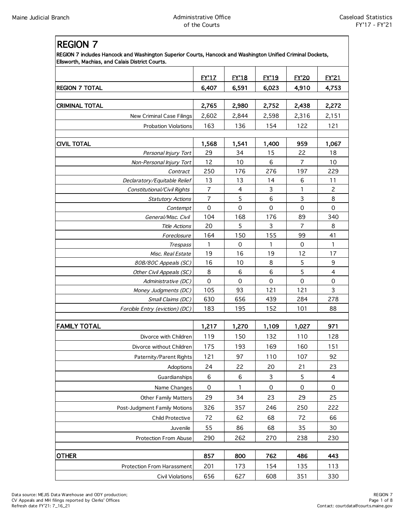REGION 7

| REGION 7 includes Hancock and Washington Superior Courts, Hancock and Washington Unified Criminal Dockets,<br>Ellsworth, Machias, and Calais District Courts. |                          |                |              |                |                  |  |  |
|---------------------------------------------------------------------------------------------------------------------------------------------------------------|--------------------------|----------------|--------------|----------------|------------------|--|--|
|                                                                                                                                                               | <b>EY'1Z</b>             | <b>EY'18</b>   | <b>FY'19</b> | <b>FY'20</b>   | <b>FY'21</b>     |  |  |
| <b>REGION 7 TOTAL</b>                                                                                                                                         | 6,407                    | 6,591          | 6,023        | 4,910          | 4,753            |  |  |
|                                                                                                                                                               |                          |                |              |                |                  |  |  |
| <b>CRIMINAL TOTAL</b>                                                                                                                                         | 2,765                    | 2,980          | 2,752        | 2,438          | 2,272            |  |  |
| New Criminal Case Filings                                                                                                                                     | 2,602                    | 2,844          | 2,598        | 2,316          | 2,151            |  |  |
| <b>Probation Violations</b>                                                                                                                                   | 163                      | 136            | 154          | 122            | 121              |  |  |
|                                                                                                                                                               |                          |                |              |                |                  |  |  |
| <b>CIVIL TOTAL</b>                                                                                                                                            | 1,568                    | 1,541          | 1,400        | 959            | 1,067            |  |  |
| Personal Injury Tort                                                                                                                                          | 29                       | 34             | 15           | 22             | 18               |  |  |
| Non-Personal Injury Tort                                                                                                                                      | 12                       | 10             | 6            | $\overline{7}$ | 10               |  |  |
| Contract                                                                                                                                                      | 250                      | 176            | 276          | 197            | 229              |  |  |
| Declaratory/Equitable Relief                                                                                                                                  | 13                       | 13             | 14           | 6              | 11               |  |  |
| Constitutional/Civil Rights                                                                                                                                   | $\overline{\mathcal{L}}$ | $\overline{4}$ | 3            | 1              | $\overline{c}$   |  |  |
| <b>Statutory Actions</b>                                                                                                                                      | $\overline{7}$           | 5              | 6            | 3              | 8                |  |  |
| Contempt                                                                                                                                                      | $\mathbf 0$              | $\mathbf 0$    | $\mathbf 0$  | $\mathbf 0$    | $\mathbf 0$      |  |  |
| General/Misc. Civil                                                                                                                                           | 104                      | 168            | 176          | 89             | 340              |  |  |
| <b>Title Actions</b>                                                                                                                                          | 20                       | 5              | 3            | 7              | 8                |  |  |
| Foreclosure                                                                                                                                                   | 164                      | 150            | 155          | 99             | 41               |  |  |
| <b>Trespass</b>                                                                                                                                               | 1                        | $\mathbf 0$    | 1            | $\mathbf 0$    | 1                |  |  |
| Misc. Real Estate                                                                                                                                             | 19                       | 16             | 19           | 12             | 17               |  |  |
| 80B/80C Appeals (SC)                                                                                                                                          | 16                       | 10             | 8            | 5              | 9                |  |  |
| Other Civil Appeals (SC)                                                                                                                                      | $\,8\,$                  | 6              | 6            | 5              | 4                |  |  |
| Administrative (DC)                                                                                                                                           | $\mathsf{O}\xspace$      | 0              | $\mathbf 0$  | 0              | $\boldsymbol{0}$ |  |  |
| Money Judgments (DC)                                                                                                                                          | 105                      | 93             | 121          | 121            | $\mathsf 3$      |  |  |
| Small Claims (DC)                                                                                                                                             | 630                      | 656            | 439          | 284            | 278              |  |  |
| Forcible Entry (eviction) (DC)                                                                                                                                | 183                      | 195            | 152          | 101            | 88               |  |  |
| <b>FAMILY TOTAL</b>                                                                                                                                           | 1,217                    | 1,270          | 1,109        | 1,027          | 971              |  |  |
| Divorce with Children                                                                                                                                         | 119                      | 150            | 132          | 110            | 128              |  |  |
| Divorce without Children                                                                                                                                      | 175                      | 193            | 169          | 160            | 151              |  |  |
| Paternity/Parent Rights                                                                                                                                       | 121                      | 97             | 110          | 107            | 92               |  |  |
| Adoptions                                                                                                                                                     | 24                       | 22             | 20           | 21             | 23               |  |  |
| Guardianships                                                                                                                                                 | 6                        | 6              | 3            | 5              | 4                |  |  |
|                                                                                                                                                               |                          |                |              |                |                  |  |  |
| Name Changes                                                                                                                                                  | $\boldsymbol{0}$         | 1              | 0            | $\mbox{O}$     | $\boldsymbol{0}$ |  |  |
| Other Family Matters                                                                                                                                          | 29                       | 34             | 23           | 29             | 25               |  |  |
| Post-Judgment Family Motions                                                                                                                                  | 326                      | 357            | 246          | 250            | 222              |  |  |
| Child Protective                                                                                                                                              | 72                       | 62             | 68           | 72             | 66               |  |  |
| Juvenile                                                                                                                                                      | 55                       | 86             | 68           | 35             | 30               |  |  |
| Protection From Abuse                                                                                                                                         | 290                      | 262            | 270          | 238            | 230              |  |  |
|                                                                                                                                                               |                          |                |              |                |                  |  |  |
| <b>OTHER</b>                                                                                                                                                  | 857                      | 800            | 762          | 486            | 443              |  |  |
| Protection From Harassment                                                                                                                                    | 201                      | 173            | 154          | 135            | 113              |  |  |
| <b>Civil Violations</b>                                                                                                                                       | 656                      | 627            | 608          | 351            | 330              |  |  |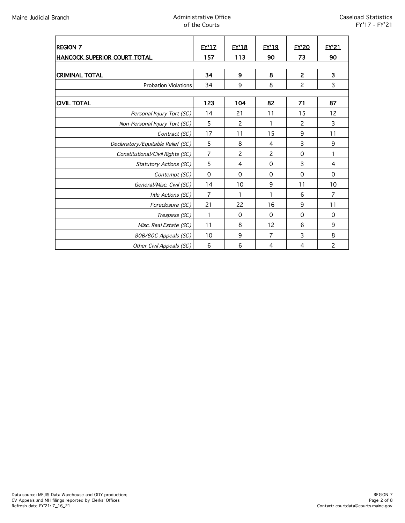| <b>REGION 7</b>                     | <b>FY'17</b> | <b>EY'18</b>   | <b>EY'19</b>   | <b>EY'20</b>   | <b>FY'21</b>   |  |
|-------------------------------------|--------------|----------------|----------------|----------------|----------------|--|
| <b>HANCOCK SUPERIOR COURT TOTAL</b> | 157          | 113            | 90             | 73             | 90             |  |
|                                     |              |                |                |                |                |  |
| <b>CRIMINAL TOTAL</b>               | 34           | 9              | 8              | $\overline{2}$ | 3              |  |
| <b>Probation Violations</b>         | 34           | 9              | 8              | $\overline{c}$ | 3              |  |
|                                     |              |                |                |                |                |  |
| <b>CIVIL TOTAL</b>                  | 123          | 104            | 82             | 71             | 87             |  |
| Personal Injury Tort (SC)           | 14           | 21             | 11             | 15             | 12             |  |
| Non-Personal Injury Tort (SC)       | 5            | 2              | 1              | 2              | 3              |  |
| Contract (SC)                       | 17           | 11             | 15             | 9              | 11             |  |
| Declaratory/Equitable Relief (SC)   | 5            | 8              | 4              | 3              | 9              |  |
| Constitutional/Civil Rights (SC)    | 7            | $\overline{c}$ | $\overline{c}$ | $\Omega$       |                |  |
| <b>Statutory Actions (SC)</b>       | 5            | 4              | 0              | 3              | 4              |  |
| Contempt (SC)                       | 0            | 0              | 0              | $\Omega$       | $\Omega$       |  |
| General/Misc. Civil (SC)            | 14           | 10             | 9              | 11             | 10             |  |
| Title Actions (SC)                  | 7            | 1              | 1              | 6              | 7              |  |
| Foreclosure (SC)                    | 21           | 22             | 16             | 9              | 11             |  |
| Trespass (SC)                       | 1            | 0              | $\Omega$       | 0              | $\Omega$       |  |
| Misc. Real Estate (SC)              | 11           | 8              | 12             | 6              | 9              |  |
| 80B/80C Appeals (SC)                | 10           | 9              | 7              | 3              | 8              |  |
| Other Civil Appeals (SC)            | 6            | 6              | 4              | 4              | $\overline{c}$ |  |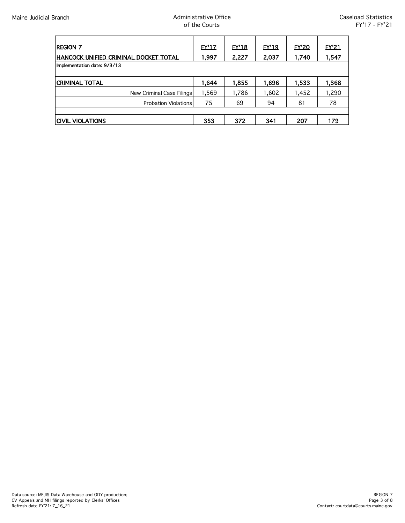| <b>REGION 7</b>                              | EY'17 | EY'18 | <u>EY'19</u> | <u>EY'20</u> | <b>EY'21</b> |  |
|----------------------------------------------|-------|-------|--------------|--------------|--------------|--|
| <b>HANCOCK UNIFIED CRIMINAL DOCKET TOTAL</b> | 1.997 | 2,227 | 2,037        | 1,740        | 1,547        |  |
| Implementation date: 9/3/13                  |       |       |              |              |              |  |
|                                              |       |       |              |              |              |  |
| <b>CRIMINAL TOTAL</b>                        | 1,644 | 1,855 | 1,696        | 1,533        | 1,368        |  |
| New Criminal Case Filings                    | 1,569 | 1,786 | 1,602        | 1,452        | 1,290        |  |
| <b>Probation Violations</b>                  | 75    | 69    | 94           | 81           | 78           |  |
|                                              |       |       |              |              |              |  |
| <b>CIVIL VIOLATIONS</b>                      | 353   | 372   | 341          | 207          | 179          |  |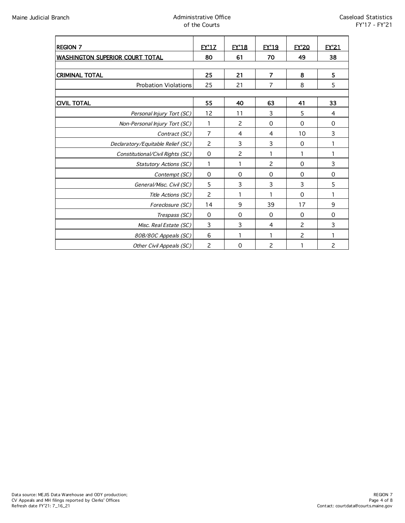| <b>REGION 7</b>                        | <b>FY'17</b>   | <b>EY'18</b>   | <b>EY'19</b>   | <b>EY'20</b> | <b>EY'21</b>   |  |
|----------------------------------------|----------------|----------------|----------------|--------------|----------------|--|
| <b>WASHINGTON SUPERIOR COURT TOTAL</b> | 80             | 61             | 70             | 49           | 38             |  |
|                                        |                |                |                |              |                |  |
| <b>CRIMINAL TOTAL</b>                  | 25             | 21             | $\overline{7}$ | 8            | 5              |  |
| <b>Probation Violations</b>            | 25             | 21             | 7              | 8            | 5              |  |
|                                        |                |                |                |              |                |  |
| <b>CIVIL TOTAL</b>                     | 55             | 40             | 63             | 41           | 33             |  |
| Personal Injury Tort (SC)              | 12             | 11             | 3              | 5            | 4              |  |
| Non-Personal Injury Tort (SC)          | 1              | $\overline{c}$ | 0              | $\mathbf 0$  | $\mathbf 0$    |  |
| Contract (SC)                          | $\overline{7}$ | 4              | 4              | 10           | 3              |  |
| Declaratory/Equitable Relief (SC)      | $\overline{c}$ | 3              | 3              | 0            | 1              |  |
| Constitutional/Civil Rights (SC)       | 0              | $\overline{c}$ | 1              |              |                |  |
| Statutory Actions (SC)                 | 1              | 1              | $\overline{c}$ | $\Omega$     | 3              |  |
| Contempt (SC)                          | $\mathbf 0$    | 0              | 0              | $\Omega$     | 0              |  |
| General/Misc. Civil (SC)               | 5              | 3              | 3              | 3            | 5              |  |
| Title Actions (SC)                     | $\overline{c}$ |                |                | $\Omega$     |                |  |
| Foreclosure (SC)                       | 14             | 9              | 39             | 17           | 9              |  |
| Trespass (SC)                          | 0              | 0              | $\Omega$       | $\mathbf 0$  | $\mathbf 0$    |  |
| Misc. Real Estate (SC)                 | 3              | 3              | 4              | 2            | 3              |  |
| 80B/80C Appeals (SC)                   | 6              | 1              | 1              | 2            |                |  |
| Other Civil Appeals (SC)               | $\overline{c}$ | $\mathbf 0$    | $\overline{c}$ |              | $\overline{c}$ |  |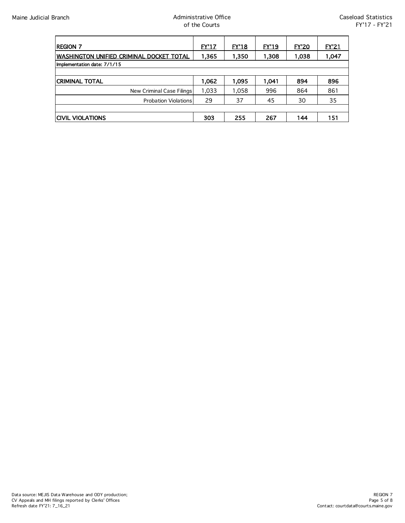| Iregion 7                                        | <u>EY'17</u> | <b>EY'18</b> | <b>FY'19</b> | <b>EY'20</b> | <b>EY'21</b> |
|--------------------------------------------------|--------------|--------------|--------------|--------------|--------------|
| <u>IWASHINGTON UNIFIED CRIMINAL DOCKET TOTAL</u> | 1.365        | 1,350        | 1,308        | 1,038        | 1,047        |
| Implementation date: 7/1/15                      |              |              |              |              |              |
|                                                  |              |              |              |              |              |
| ICRIMINAL TOTAL                                  | 1,062        | 1,095        | 1,041        | 894          | 896          |
| New Criminal Case Filings                        | 1,033        | 1,058        | 996          | 864          | 861          |
| <b>Probation Violations</b>                      | 29           | 37           | 45           | 30           | 35           |
|                                                  |              |              |              |              |              |
| ICIVIL VIOLATIONS                                | 303          | 255          | 267          | 144          | 151          |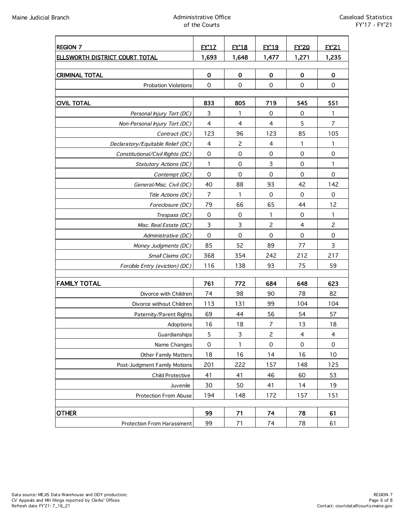| <b>REGION 7</b>                                 | <b>FY'17</b>   | <b>EY'18</b> | <b>EY'19</b>        | <b>FY'20</b>       | <b>EY'21</b>             |
|-------------------------------------------------|----------------|--------------|---------------------|--------------------|--------------------------|
| ELLSWORTH DISTRICT COURT TOTAL                  | 1,693          | 1,648        | 1,477               | 1,271              | 1,235                    |
|                                                 |                |              |                     |                    |                          |
| <b>CRIMINAL TOTAL</b>                           | $\mathbf 0$    | 0            | $\mathbf 0$         | $\mathbf 0$        | $\mathbf 0$              |
| <b>Probation Violations</b>                     | $\mathbf 0$    | $\mathbf 0$  | $\mathbf 0$         | $\mathbf 0$        | $\mathbf 0$              |
|                                                 |                |              |                     |                    |                          |
| <b>CIVIL TOTAL</b><br>Personal Injury Tort (DC) | 833<br>3       | 805<br>1     | 719<br>$\mathbf 0$  | 545<br>$\mathbf 0$ | 551<br>1                 |
|                                                 | $\overline{4}$ | 4            | $\overline{4}$      | 5                  | $\overline{7}$           |
| Non-Personal Injury Tort (DC)                   | 123            | 96           | 123                 | 85                 | 105                      |
| Contract (DC)                                   | 4              | 2            | 4                   | 1                  |                          |
| Declaratory/Equitable Relief (DC)               | $\mathbf 0$    | $\mathbf 0$  | $\mathbf 0$         | $\mathbf 0$        | 1<br>$\mathbf 0$         |
| Constitutional/Civil Rights (DC)                | $\mathbf{1}$   | 0            | 3                   | $\mathbf 0$        | 1                        |
| Statutory Actions (DC)<br>Contempt (DC)         | $\mathbf 0$    | $\mathbf 0$  | $\mathbf 0$         | $\mathbf 0$        | $\mathbf 0$              |
|                                                 | 40             | 88           | 93                  | 42                 | 142                      |
| General/Misc. Civil (DC)                        | $\overline{7}$ | 1            | $\mathbf 0$         | $\mathbf 0$        | 0                        |
| Title Actions (DC)<br>Foreclosure (DC)          | 79             | 66           | 65                  | 44                 | 12                       |
| Trespass (DC)                                   | 0              | 0            | 1                   | 0                  | 1                        |
| Misc. Real Estate (DC)                          | 3              | 3            | $\overline{c}$      | 4                  | $\overline{c}$           |
| Administrative (DC)                             | $\mathbf 0$    | $\mathbf 0$  | $\mathbf 0$         | $\mathbf 0$        | $\mathbf 0$              |
| Money Judgments (DC)                            | 85             | 52           | 89                  | 77                 | 3                        |
| Small Claims (DC)                               | 368            | 354          | 242                 | 212                | 217                      |
| Forcible Entry (eviction) (DC)                  | 116            | 138          | 93                  | 75                 | 59                       |
|                                                 |                |              |                     |                    |                          |
| <b>FAMILY TOTAL</b>                             | 761            | 772          | 684                 | 648                | 623                      |
| Divorce with Children                           | 74             | 98           | 90                  | 78                 | 82                       |
| Divorce without Children                        | 113            | 131          | 99                  | 104                | 104                      |
| Paternity/Parent Rights                         | 69             | 44           | 56                  | 54                 | 57                       |
| Adoptions                                       | 16             | 18           | $\overline{7}$      | 13                 | 18                       |
| Guardianships                                   | 5              | 3            | $\mathbf{Z}$        | $\overline{4}$     | $\overline{\mathcal{L}}$ |
| Name Changes                                    | $\mathbf 0$    | 1            | $\mathsf{O}\xspace$ | $\mathbf 0$        | $\mathsf{O}\xspace$      |
| Other Family Matters                            | 18             | 16           | 14                  | 16                 | 10                       |
| Post-Judgment Family Motions                    | 201            | 222          | 157                 | 148                | 125                      |
| Child Protective                                | 41             | 41           | 46                  | 60                 | 53                       |
| Juvenile                                        | 30             | 50           | 41                  | 14                 | 19                       |
| Protection From Abuse                           | 194            | 148          | 172                 | 157                | 151                      |
|                                                 |                |              |                     |                    |                          |
| <b>OTHER</b>                                    | 99             | 71           | 74                  | 78                 | 61                       |
| Protection From Harassment                      | 99             | 71           | 74                  | 78                 | 61                       |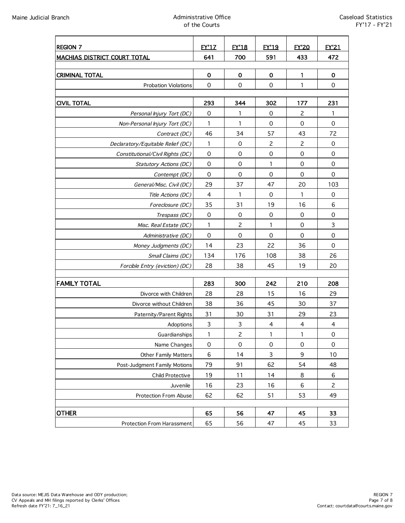| <b>REGION 7</b>                     | <b>EY'17</b>              | <b>EY'18</b>        | <b>EY'19</b>        | <b>EY'20</b>        | <b>EY'21</b>        |
|-------------------------------------|---------------------------|---------------------|---------------------|---------------------|---------------------|
| <b>MACHIAS DISTRICT COURT TOTAL</b> | 641                       | 700                 | 591                 | 433                 | 472                 |
|                                     |                           |                     |                     |                     |                     |
| <b>CRIMINAL TOTAL</b>               | $\mathbf 0$               | $\mathbf 0$         | $\mathbf 0$         | $\mathbf{1}$        | $\mathbf 0$         |
| <b>Probation Violations</b>         | $\mathbf 0$               | $\mathbf 0$         | $\mathbf 0$         | 1                   | $\mathbf 0$         |
| <b>CIVIL TOTAL</b>                  | 293                       | 344                 | 302                 | 177                 | 231                 |
| Personal Injury Tort (DC)           | $\mathbf 0$               | 1                   | $\mathbf 0$         | $\overline{c}$      | 1                   |
| Non-Personal Injury Tort (DC)       | 1                         | 1                   | $\mathbf 0$         | $\mathbf 0$         | $\mathbf 0$         |
| Contract (DC)                       | 46                        | 34                  | 57                  | 43                  | 72                  |
| Declaratory/Equitable Relief (DC)   | 1                         | $\mathbf 0$         | $\overline{c}$      | $\overline{c}$      | $\mathbf 0$         |
| Constitutional/Civil Rights (DC)    | $\mathbf 0$               | $\mathbf 0$         | $\mathbf 0$         | $\mathbf 0$         | $\mathsf{O}\xspace$ |
| Statutory Actions (DC)              | 0                         | 0                   | 1                   | $\mathbf 0$         | $\mathsf{O}\xspace$ |
| Contempt (DC)                       | $\mathbf 0$               | $\mathbf 0$         | $\mathbf 0$         | 0                   | $\Omega$            |
| General/Misc. Civil (DC)            | 29                        | 37                  | 47                  | 20                  | 103                 |
| Title Actions (DC)                  | $\overline{4}$            | 1                   | $\mathbf 0$         | 1                   | $\mathbf 0$         |
| Foreclosure (DC)                    | 35                        | 31                  | 19                  | 16                  | 6                   |
| Trespass (DC)                       | $\mathbf 0$               | 0                   | $\mathbf 0$         | 0                   | 0                   |
| Misc. Real Estate (DC)              | $\mathbf{1}$              | $\overline{c}$      | $\mathbf{1}$        | $\mathbf 0$         | 3                   |
| Administrative (DC)                 | $\mathbf 0$               | $\mathbf 0$         | $\mathbf 0$         | $\mathbf 0$         | $\mathbf 0$         |
| Money Judgments (DC)                | 14                        | 23                  | 22                  | 36                  | $\mathbf 0$         |
| Small Claims (DC)                   | 134                       | 176                 | 108                 | 38                  | 26                  |
| Forcible Entry (eviction) (DC)      | 28                        | 38                  | 45                  | 19                  | 20                  |
|                                     |                           |                     |                     |                     |                     |
| <b>FAMILY TOTAL</b>                 | 283                       | 300                 | 242                 | 210                 | 208                 |
| Divorce with Children               | 28                        | 28                  | 15                  | 16                  | 29                  |
| Divorce without Children            | 38                        | 36                  | 45                  | 30                  | 37                  |
| Paternity/Parent Rights             | 31                        | 30                  | 31                  | 29                  | 23                  |
| Adoptions                           | $\ensuremath{\mathsf{3}}$ | 3                   | $\overline{4}$      | $\overline{4}$      | 4                   |
| Guardianships                       | 1                         | $\overline{c}$      | 1                   | 1                   | $\mbox{O}$          |
| Name Changes                        | $\mathsf{O}\xspace$       | $\mathsf{O}\xspace$ | $\mathsf{O}\xspace$ | $\mathsf{O}\xspace$ | $\mathbf 0$         |
| Other Family Matters                | $\,6$                     | 14                  | $\mathsf 3$         | $9\,$               | 10                  |
| Post-Judgment Family Motions        | 79                        | 91                  | 62                  | 54                  | 48                  |
| Child Protective                    | 19                        | 11                  | 14                  | 8                   | $\,6$               |
| Juvenile                            | 16                        | 23                  | 16                  | 6                   | $\overline{c}$      |
| Protection From Abuse               | 62                        | 62                  | 51                  | 53                  | 49                  |
|                                     |                           |                     |                     |                     |                     |
| <b>OTHER</b>                        | 65                        | 56                  | 47                  | 45                  | 33                  |
| Protection From Harassment          | 65                        | 56                  | 47                  | 45                  | 33                  |